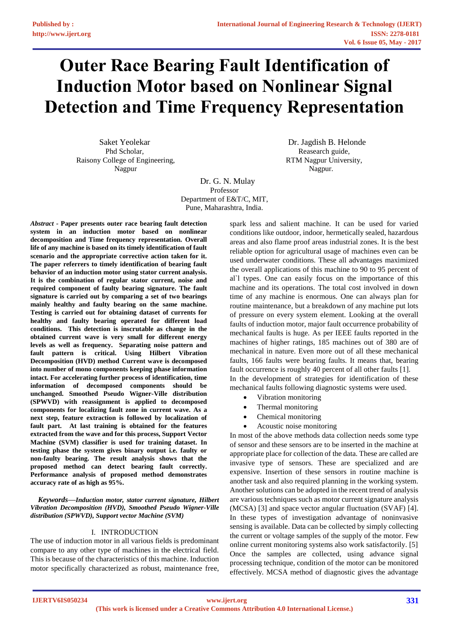# **Outer Race Bearing Fault Identification of Induction Motor based on Nonlinear Signal Detection and Time Frequency Representation**

Saket Yeolekar Phd Scholar, Raisony College of Engineering, Nagpur

 Dr. Jagdish B. Helonde Reasearch guide, RTM Nagpur University, Nagpur.

 Dr. G. N. Mulay Professor Department of E&T/C, MIT, Pune, Maharashtra, India.

*Abstract -* **Paper presents outer race bearing fault detection system in an induction motor based on nonlinear decomposition and Time frequency representation. Overall life of any machine is based on its timely identification of fault scenario and the appropriate corrective action taken for it. The paper referrers to timely identification of bearing fault behavior of an induction motor using stator current analysis. It is the combination of regular stator current, noise and required component of faulty bearing signature. The fault signature is carried out by comparing a set of two bearings mainly healthy and faulty bearing on the same machine. Testing is carried out for obtaining dataset of currents for healthy and faulty bearing operated for different load conditions. This detection is inscrutable as change in the obtained current wave is very small for different energy levels as well as frequency. Separating noise pattern and fault pattern is critical. Using Hilbert Vibration Decomposition (HVD) method Current wave is decomposed into number of mono components keeping phase information intact. For accelerating further process of identification, time information of decomposed components should be unchanged. Smoothed Pseudo Wigner-Ville distribution (SPWVD) with reassignment is applied to decomposed components for localizing fault zone in current wave. As a next step, feature extraction is followed by localization of fault part. At last training is obtained for the features extracted from the wave and for this process, Support Vector Machine (SVM) classifier is used for training dataset. In testing phase the system gives binary output i.e. faulty or non-faulty bearing. The result analysis shows that the proposed method can detect bearing fault correctly. Performance analysis of proposed method demonstrates accuracy rate of as high as 95%.** 

*Keywords***—***Induction motor, stator current signature, Hilbert Vibration Decomposition (HVD), Smoothed Pseudo Wigner-Ville distribution (SPWVD), Support vector Machine (SVM)*

## I. INTRODUCTION

The use of induction motor in all various fields is predominant compare to any other type of machines in the electrical field. This is because of the characteristics of this machine. Induction motor specifically characterized as robust, maintenance free,

spark less and salient machine. It can be used for varied conditions like outdoor, indoor, hermetically sealed, hazardous areas and also flame proof areas industrial zones. It is the best reliable option for agricultural usage of machines even can be used underwater conditions. These all advantages maximized the overall applications of this machine to 90 to 95 percent of al`l types. One can easily focus on the importance of this machine and its operations. The total cost involved in down time of any machine is enormous. One can always plan for routine maintenance, but a breakdown of any machine put lots of pressure on every system element. Looking at the overall faults of induction motor, major fault occurrence probability of mechanical faults is huge. As per IEEE faults reported in the machines of higher ratings, 185 machines out of 380 are of mechanical in nature. Even more out of all these mechanical faults, 166 faults were bearing faults. It means that, bearing fault occurrence is roughly 40 percent of all other faults [1]. In the development of strategies for identification of these mechanical faults following diagnostic systems were used.

- Vibration monitoring
- Thermal monitoring
- Chemical monitoring
- Acoustic noise monitoring

In most of the above methods data collection needs some type of sensor and these sensors are to be inserted in the machine at appropriate place for collection of the data. These are called are invasive type of sensors. These are specialized and are expensive. Insertion of these sensors in routine machine is another task and also required planning in the working system. Another solutions can be adopted in the recent trend of analysis are various techniques such as motor current signature analysis (MCSA) [3] and space vector angular fluctuation (SVAF) [4]. In these types of investigation advantage of noninvasive sensing is available. Data can be collected by simply collecting the current or voltage samples of the supply of the motor. Few online current monitoring systems also work satisfactorily. [5] Once the samples are collected, using advance signal processing technique, condition of the motor can be monitored effectively. MCSA method of diagnostic gives the advantage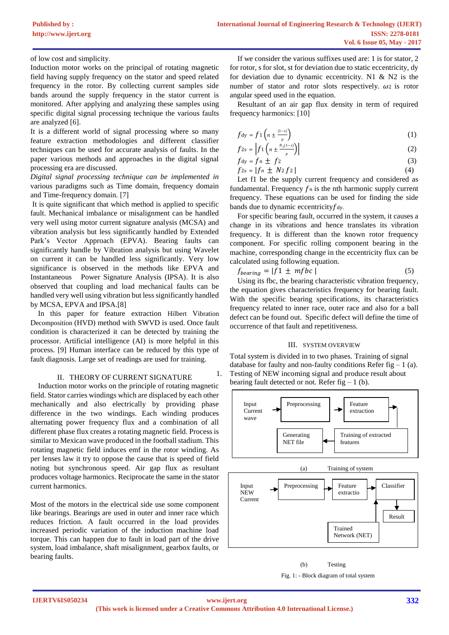of low cost and simplicity.

Induction motor works on the principal of rotating magnetic field having supply frequency on the stator and speed related frequency in the rotor. By collecting current samples side bands around the supply frequency in the stator current is monitored. After applying and analyzing these samples using specific digital signal processing technique the various faults are analyzed [6].

It is a different world of signal processing where so many feature extraction methodologies and different classifier techniques can be used for accurate analysis of faults. In the paper various methods and approaches in the digital signal processing era are discussed.

*Digital signal processing technique can be implemented in* various paradigms such as Time domain, frequency domain and Time-frequency domain. [7]

It is quite significant that which method is applied to specific fault. Mechanical imbalance or misalignment can be handled very well using motor current signature analysis (MCSA) and vibration analysis but less significantly handled by Extended Park's Vector Approach (EPVA). Bearing faults can significantly handle by Vibration analysis but using Wavelet on current it can be handled less significantly. Very low significance is observed in the methods like EPVA and Instantaneous Power Signature Analysis (IPSA). It is also observed that coupling and load mechanical faults can be handled very well using vibration but less significantly handled by MCSA, EPVA and IPSA.[8]

In this paper for feature extraction Hilbert Vibration Decomposition (HVD) method with SWVD is used. Once fault condition is characterized it can be detected by training the processor. Artificial intelligence (AI) is more helpful in this process. [9] Human interface can be reduced by this type of fault diagnosis. Large set of readings are used for training.

#### II. THEORY OF CURRENT SIGNATURE

Induction motor works on the principle of rotating magnetic field. Stator carries windings which are displaced by each other mechanically and also electrically by providing phase difference in the two windings. Each winding produces alternating power frequency flux and a combination of all different phase flux creates a rotating magnetic field. Process is similar to Mexican wave produced in the football stadium. This rotating magnetic field induces emf in the rotor winding. As per lenses law it try to oppose the cause that is speed of field noting but synchronous speed. Air gap flux as resultant produces voltage harmonics. Reciprocate the same in the stator current harmonics.

Most of the motors in the electrical side use some component like bearings. Bearings are used in outer and inner race which reduces friction. A fault occurred in the load provides increased periodic variation of the induction machine load torque. This can happen due to fault in load part of the drive system, load imbalance, shaft misalignment, gearbox faults, or bearing faults.

If we consider the various suffixes used are: 1 is for stator, 2 for rotor, s for slot, st for deviation due to static eccentricity, dy for deviation due to dynamic eccentricity. N1 & N2 is the number of stator and rotor slots respectively.  $\omega$ 2 is rotor angular speed used in the equation.

Resultant of an air gap flux density in term of required frequency harmonics: [10]

$$
f_{\text{dy}} = f_1 \left( n \pm \frac{(1-s)}{p} \right) \tag{1}
$$

$$
f2s = \left| f1\left(n \pm \frac{N_2(1-s)}{p}\right) \right| \tag{2}
$$

$$
f_{\text{dy}} = f_n \pm f_2 \tag{3}
$$
  
\n
$$
f_{2s} = |f_n \pm N_2 f_2| \tag{4}
$$

Let f1 be the supply current frequency and considered as fundamental. Frequency  $f_n$  is the nth harmonic supply current frequency. These equations can be used for finding the side bands due to dynamic eccentricity  $f_{\text{dy}}$ .

For specific bearing fault, occurred in the system, it causes a change in its vibrations and hence translates its vibration frequency. It is different than the known rotor frequency component. For specific rolling component bearing in the machine, corresponding change in the eccentricity flux can be calculated using following equation.

$$
f_{\text{learning}} = |f1 \pm mfbc| \tag{5}
$$

Using its fbc, the bearing characteristic vibration frequency, the equation gives characteristics frequency for bearing fault. With the specific bearing specifications, its characteristics frequency related to inner race, outer race and also for a ball defect can be found out. Specific defect will define the time of occurrence of that fault and repetitiveness.

## III. SYSTEM OVERVIEW

Total system is divided in to two phases. Training of signal database for faulty and non-faulty conditions Refer fig  $-1$  (a). 1. Testing of NEW incoming signal and produce result about bearing fault detected or not. Refer fig  $-1$  (b).



(b) Testing Fig. 1: - Block diagram of total system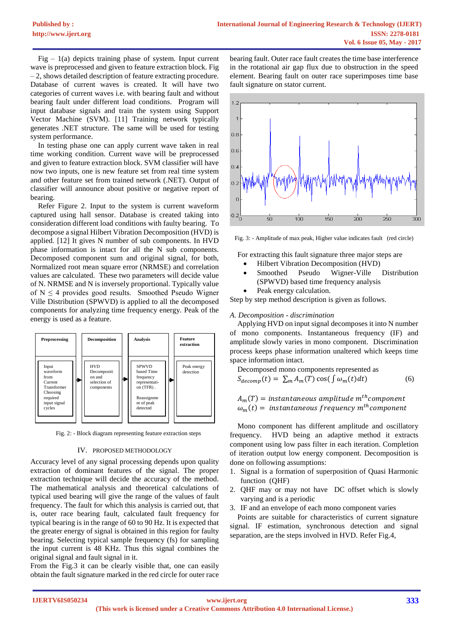$Fig - 1(a)$  depicts training phase of system. Input current wave is preprocessed and given to feature extraction block. Fig – 2, shows detailed description of feature extracting procedure. Database of current waves is created. It will have two categories of current waves i.e. with bearing fault and without bearing fault under different load conditions. Program will input database signals and train the system using Support Vector Machine (SVM). [11] Training network typically generates .NET structure. The same will be used for testing system performance.

In testing phase one can apply current wave taken in real time working condition. Current wave will be preprocessed and given to feature extraction block. SVM classifier will have now two inputs, one is new feature set from real time system and other feature set from trained network (.NET). Output of classifier will announce about positive or negative report of bearing.

Refer Figure 2. Input to the system is current waveform captured using hall sensor. Database is created taking into consideration different load conditions with faulty bearing. To decompose a signal Hilbert Vibration Decomposition (HVD) is applied. [12] It gives N number of sub components. In HVD phase information is intact for all the N sub components. Decomposed component sum and original signal, for both, Normalized root mean square error (NRMSE) and correlation values are calculated. These two parameters will decide value of N. NRMSE and N is inversely proportional. Typically value of  $N \leq 4$  provides good results. Smoothed Pseudo Wigner Ville Distribution (SPWVD) is applied to all the decomposed components for analyzing time frequency energy. Peak of the energy is used as a feature.



Fig. 2: - Block diagram representing feature extraction steps

#### IV. PROPOSED METHODOLOGY

Accuracy level of any signal processing depends upon quality extraction of dominant features of the signal. The proper extraction technique will decide the accuracy of the method. The mathematical analysis and theoretical calculations of typical used bearing will give the range of the values of fault frequency. The fault for which this analysis is carried out, that is, outer race bearing fault, calculated fault frequency for typical bearing is in the range of 60 to 90 Hz. It is expected that the greater energy of signal is obtained in this region for faulty bearing. Selecting typical sample frequency (fs) for sampling the input current is 48 KHz. Thus this signal combines the original signal and fault signal in it.

From the Fig.3 it can be clearly visible that, one can easily obtain the fault signature marked in the red circle for outer race

bearing fault. Outer race fault creates the time base interference in the rotational air gap flux due to obstruction in the speed element. Bearing fault on outer race superimposes time base fault signature on stator current.



Fig. 3: - Amplitude of max peak, Higher value indicates fault (red circle)

For extracting this fault signature three major steps are

- Hilbert Vibration Decomposition (HVD)
- Smoothed Pseudo Wigner-Ville Distribution (SPWVD) based time frequency analysis
- Peak energy calculation.

Step by step method description is given as follows.

#### *A. Decomposition - discrimination*

Applying HVD on input signal decomposes it into N number of mono components. Instantaneous frequency (IF) and amplitude slowly varies in mono component. Discrimination process keeps phase information unaltered which keeps time space information intact.

Decomposed mono components represented as  
\n
$$
S_{decomp}(t) = \sum_{m} A_{m}(T) \cos(\int \omega_{m}(t) dt)
$$
\n(6)

 $A_m(T) = {\it instantaneous\ amplitude\ }m^{th} component$  $\omega_m(t) =$  instantaneous frequency  $m^{th}$ component

Mono component has different amplitude and oscillatory frequency. HVD being an adaptive method it extracts component using low pass filter in each iteration. Completion of iteration output low energy component. Decomposition is done on following assumptions:

- 1. Signal is a formation of superposition of Quasi Harmonic function (QHF)
- 2. QHF may or may not have DC offset which is slowly varying and is a periodic
- 3. IF and an envelope of each mono component varies

Points are suitable for characteristics of current signature signal. IF estimation, synchronous detection and signal separation, are the steps involved in HVD. Refer Fig.4,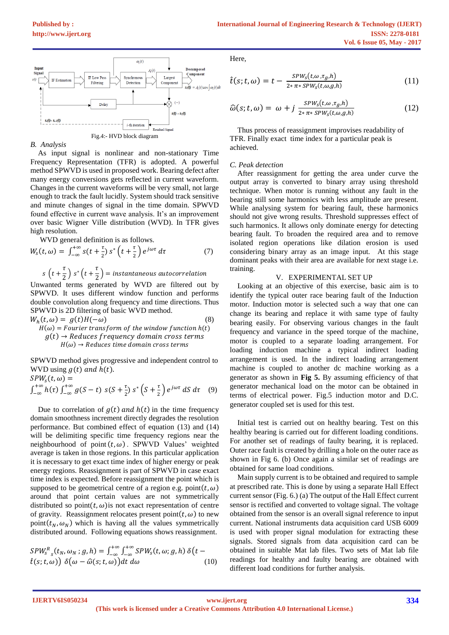

*B. Analysis*

As input signal is nonlinear and non-stationary Time Frequency Representation (TFR) is adopted. A powerful method SPWVD is used in proposed work. Bearing defect after many energy conversions gets reflected in current waveform. Changes in the current waveforms will be very small, not large enough to track the fault lucidly. System should track sensitive and minute changes of signal in the time domain. SPWVD found effective in current wave analysis. It's an improvement over basic Wigner Ville distribution (WVD). In TFR gives high resolution.

WVD general definition is as follows.

$$
W_s(t,\omega) = \int_{-\infty}^{+\infty} s(t + \frac{\tau}{2}) s^* \left(t + \frac{\tau}{2}\right) e^{j\omega \tau} d\tau \tag{7}
$$

$$
s\left(t+\frac{\tau}{2}\right)s^*\left(t+\frac{\tau}{2}\right)=\text{instantaneous autocorrelation}
$$

Unwanted terms generated by WVD are filtered out by SPWVD. It uses different window function and performs double convolution along frequency and time directions. Thus SPWVD is 2D filtering of basic WVD method.

$$
W_h(t, \omega) = g(t)H(-\omega)
$$
\n(8)  
\n
$$
H(\omega) = Fourier transform of the window function h(t)
$$
\n
$$
g(t) \rightarrow Reduces frequency domain cross terms
$$
\n
$$
H(\omega) \rightarrow Reduces time domain cross terms
$$

SPWVD method gives progressive and independent control to WVD using  $g(t)$  and  $h(t)$ .

$$
SPWS(t, \omega) =
$$
  

$$
\int_{-\infty}^{+\infty} h(\tau) \int_{-\infty}^{+\infty} g(S-t) \, s(S + \frac{\tau}{2}) \, s^* \left(S + \frac{\tau}{2}\right) e^{j\omega \tau} \, dS \, d\tau \quad (9)
$$

Due to correlation of  $g(t)$  and  $h(t)$  in the time frequency domain smoothness increment directly degrades the resolution performance. But combined effect of equation (13) and (14) will be delimiting specific time frequency regions near the neighbourhood of point  $(t, \omega)$ . SPWVD Values' weighted average is taken in those regions. In this particular application it is necessary to get exact time index of higher energy or peak energy regions. Reassignment is part of SPWVD in case exact time index is expected. Before reassignment the point which is supposed to be geometrical centre of a region e.g.  $point(t, \omega)$ around that point certain values are not symmetrically distributed so point $(t, \omega)$  is not exact representation of centre of gravity. Reassignment relocates present point( $t, \omega$ ) to new point( $t_N$ ,  $\omega_N$ ) which is having all the values symmetrically distributed around. Following equations shows reassignment.

$$
SPW_{S}^{R}{}_{S}(t_{N}, \omega_{N}; g, h) = \int_{-\infty}^{+\infty} \int_{-\infty}^{+\infty} SPW_{S}(t, \omega; g, h) \delta(t - \hat{t}(s; t, \omega)) \delta(\omega - \hat{\omega}(s; t, \omega)) dt d\omega
$$
 (10)

Here,

$$
\hat{t}(s; t, \omega) = t - \frac{SPW_s(t, \omega, \tau_g, h)}{2 * \pi * SPW_s(t, \omega, g, h)}
$$
(11)

$$
\widehat{\omega}(s;t,\omega) = \omega + j \frac{SPW_s(t,\omega,\tau_g,h)}{2*\pi * SPW_s(t,\omega,g,h)}
$$
(12)

Thus process of reassignment improvises readability of TFR. Finally exact time index for a particular peak is achieved.

#### *C. Peak detection*

After reassignment for getting the area under curve the output array is converted to binary array using threshold technique. When motor is running without any fault in the bearing still some harmonics with less amplitude are present. While analysing system for bearing fault, these harmonics should not give wrong results. Threshold suppresses effect of such harmonics. It allows only dominate energy for detecting bearing fault. To broaden the required area and to remove isolated region operations like dilation erosion is used considering binary array as an image input. At this stage dominant peaks with their area are available for next stage i.e. training.

## V. EXPERIMENTAL SET UP

Looking at an objective of this exercise, basic aim is to identify the typical outer race bearing fault of the Induction motor. Induction motor is selected such a way that one can change its bearing and replace it with same type of faulty bearing easily. For observing various changes in the fault frequency and variance in the speed torque of the machine, motor is coupled to a separate loading arrangement. For loading induction machine a typical indirect loading arrangement is used. In the indirect loading arrangement machine is coupled to another dc machine working as a generator as shown in **Fig 5.** By assuming efficiency of that generator mechanical load on the motor can be obtained in terms of electrical power. Fig.5 induction motor and D.C. generator coupled set is used for this test.

Initial test is carried out on healthy bearing. Test on this healthy bearing is carried out for different loading conditions. For another set of readings of faulty bearing, it is replaced. Outer race fault is created by drilling a hole on the outer race as shown in Fig 6. (b) Once again a similar set of readings are obtained for same load conditions.

Main supply current is to be obtained and required to sample at prescribed rate. This is done by using a separate Hall Effect current sensor (Fig. 6.) (a) The output of the Hall Effect current sensor is rectified and converted to voltage signal. The voltage obtained from the sensor is an overall signal reference to input current. National instruments data acquisition card USB 6009 is used with proper signal modulation for extracting these signals. Stored signals from data acquisition card can be obtained in suitable Mat lab files. Two sets of Mat lab file readings for healthy and faulty bearing are obtained with different load conditions for further analysis.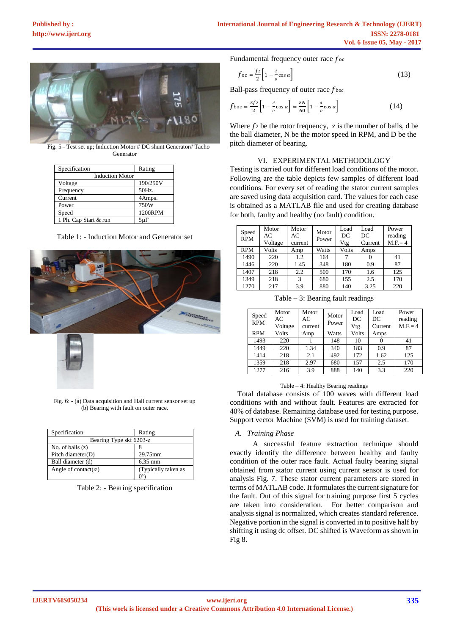

Fig. 5 - Test set up; Induction Motor # DC shunt Generator# Tacho Generator

| Specification          | Rating   |  |  |
|------------------------|----------|--|--|
|                        |          |  |  |
| <b>Induction Motor</b> |          |  |  |
| Voltage                | 190/250V |  |  |
| Frequency              | 50Hz.    |  |  |
| Current                | 4Amps.   |  |  |
| Power                  | 750W     |  |  |
| Speed                  | 1200RPM  |  |  |
| 1 Ph. Cap Start & run  | $5\mu F$ |  |  |

Table 1: - Induction Motor and Generator set





Fig. 6: - (a) Data acquisition and Hall current sensor set up (b) Bearing with fault on outer race.

| Specification                | Rating              |  |  |  |
|------------------------------|---------------------|--|--|--|
| Bearing Type skf 6203-z      |                     |  |  |  |
| No. of balls $(z)$           |                     |  |  |  |
| Pitch diameter(D)            | 29.75mm             |  |  |  |
| Ball diameter (d)            | $6.35 \text{ mm}$   |  |  |  |
| Angle of contact( $\alpha$ ) | (Typically taken as |  |  |  |
|                              |                     |  |  |  |

Table 2: - Bearing specification

Fundamental frequency outer race  $f_{\text{oc}}$ 

$$
f_{\text{oc}} = \frac{f^2}{2} \left[ 1 - \frac{d}{p} \cos \alpha \right] \tag{13}
$$

Ball-pass frequency of outer race  $f_{\text{boc}}$ 

$$
f_{\text{boc}} = \frac{zf_2}{2} \left[ 1 - \frac{d}{D} \cos \alpha \right] = \frac{zN}{60} \left[ 1 - \frac{d}{D} \cos \alpha \right]
$$
 (14)

Where  $f_2$  be the rotor frequency, z is the number of balls, d be the ball diameter, N be the motor speed in RPM, and D be the pitch diameter of bearing.

### VI. EXPERIMENTAL METHODOLOGY

Testing is carried out for different load conditions of the motor. Following are the table depicts few samples of different load conditions. For every set of reading the stator current samples are saved using data acquisition card. The values for each case is obtained as a MATLAB file and used for creating database for both, faulty and healthy (no fault) condition.

| Speed<br><b>RPM</b> | Motor<br>АC<br>Voltage | Motor<br>AC<br>current | Motor<br>Power | Load<br>DC<br>Vtg | Load<br>DC<br>Current | Power<br>reading<br>$M.F = 4$ |
|---------------------|------------------------|------------------------|----------------|-------------------|-----------------------|-------------------------------|
| <b>RPM</b>          | Volts                  | Amp                    | Watts          | Volts             | Amps                  |                               |
| 1490                | 220                    | 1.2                    | 164            |                   |                       | 41                            |
| 1446                | 220                    | 1.45                   | 348            | 180               | 0.9                   | 87                            |
| 1407                | 218                    | 2.2                    | 500            | 170               | 1.6                   | 125                           |
| 1349                | 218                    | 3                      | 680            | 155               | 2.5                   | 170                           |
| 1270                | 217                    | 3.9                    | 880            | 140               | 3.25                  | 220                           |

Table – 3: Bearing fault readings

| Speed<br><b>RPM</b> | Motor<br>AC<br>Voltage | Motor<br>AC<br>current | Motor<br>Power | Load<br>DC<br>Vtg | Load<br>DC<br>Current | Power<br>reading<br>$M.F = 4$ |
|---------------------|------------------------|------------------------|----------------|-------------------|-----------------------|-------------------------------|
| <b>RPM</b>          | Volts                  | Amp                    | Watts          | Volts             | Amps                  |                               |
| 1493                | 220                    |                        | 148            | 10                |                       | 41                            |
| 1449                | 220                    | 1.34                   | 340            | 183               | 0.9                   | 87                            |
| 1414                | 218                    | 2.1                    | 492            | 172               | 1.62                  | 125                           |
| 1359                | 218                    | 2.97                   | 680            | 157               | 2.5                   | 170                           |
| 1277                | 216                    | 3.9                    | 888            | 140               | 3.3                   | 220                           |

#### Table – 4: Healthy Bearing readings

Total database consists of 100 waves with different load conditions with and without fault. Features are extracted for 40% of database. Remaining database used for testing purpose. Support vector Machine (SVM) is used for training dataset.

## *A. Training Phase*

A successful feature extraction technique should exactly identify the difference between healthy and faulty condition of the outer race fault. Actual faulty bearing signal obtained from stator current using current sensor is used for analysis Fig. 7. These stator current parameters are stored in terms of MATLAB code. It formulates the current signature for the fault. Out of this signal for training purpose first 5 cycles are taken into consideration. For better comparison and analysis signal is normalized, which creates standard reference. Negative portion in the signal is converted in to positive half by shifting it using dc offset. DC shifted is Waveform as shown in Fig 8.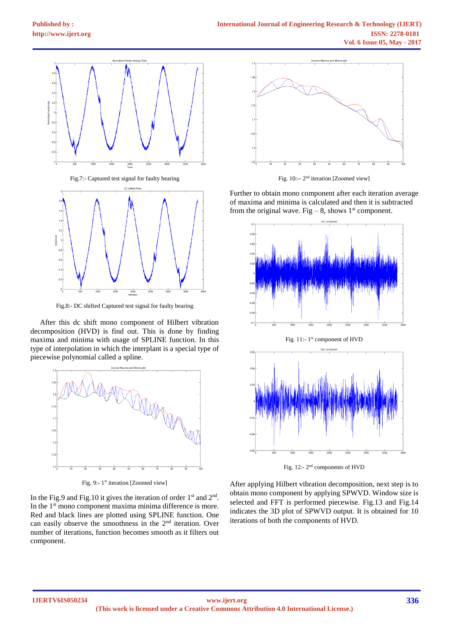

Fig.8:- DC shifted Captured test signal for faulty bearing

After this dc shift mono component of Hilbert vibration decomposition (HVD) is find out. This is done by finding maxima and minima with usage of SPLINE function. In this type of interpolation in which the interplant is a special type of piecewise polynomial called a spline.



Fig. 9:- 1<sup>st</sup> iteration [Zoomed view]

In the Fig.9 and Fig.10 it gives the iteration of order  $1<sup>st</sup>$  and  $2<sup>nd</sup>$ . In the 1<sup>st</sup> mono component maxima minima difference is more. Red and black lines are plotted using SPLINE function. One can easily observe the smoothness in the  $2<sup>nd</sup>$  iteration. Over number of iterations, function becomes smooth as it filters out component.



Fig. 10:-- 2<sup>nd</sup> iteration [Zoomed view]

Further to obtain mono component after each iteration average of maxima and minima is calculated and then it is subtracted from the original wave. Fig – 8, shows  $1<sup>st</sup>$  component.



Fig. 11:-1<sup>st</sup> component of HVD



Fig. 12:- 2<sup>nd</sup> components of HVD

After applying Hilbert vibration decomposition, next step is to obtain mono component by applying SPWVD. Window size is selected and FFT is performed piecewise. Fig.13 and Fig.14 indicates the 3D plot of SPWVD output. It is obtained for 10 iterations of both the components of HVD.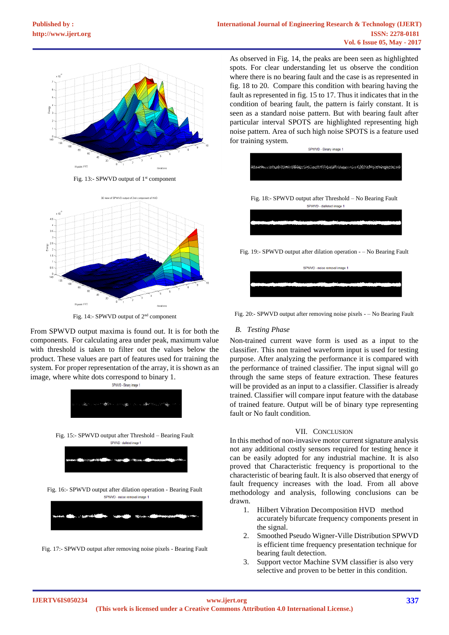

Fig. 13:- SPWVD output of  $1<sup>st</sup>$  component



Fig. 14:- SPWVD output of 2nd component

From SPWVD output maxima is found out. It is for both the components. For calculating area under peak, maximum value with threshold is taken to filter out the values below the product. These values are part of features used for training the system. For proper representation of the array, it is shown as an image, where white dots correspond to binary 1.



Fig. 17:- SPWVD output after removing noise pixels - Bearing Fault

As observed in Fig. 14, the peaks are been seen as highlighted spots. For clear understanding let us observe the condition where there is no bearing fault and the case is as represented in fig. 18 to 20. Compare this condition with bearing having the fault as represented in fig. 15 to 17. Thus it indicates that in the condition of bearing fault, the pattern is fairly constant. It is seen as a standard noise pattern. But with bearing fault after particular interval SPOTS are highlighted representing high noise pattern. Area of such high noise SPOTS is a feature used for training system.



Fig. 19:- SPWVD output after dilation operation - – No Bearing Fault



Fig. 20:- SPWVD output after removing noise pixels - – No Bearing Fault

## *B. Testing Phase*

Non-trained current wave form is used as a input to the classifier. This non trained waveform input is used for testing purpose. After analyzing the performance it is compared with the performance of trained classifier. The input signal will go through the same steps of feature extraction. These features will be provided as an input to a classifier. Classifier is already trained. Classifier will compare input feature with the database of trained feature. Output will be of binary type representing fault or No fault condition.

## VII. CONCLUSION

In this method of non-invasive motor current signature analysis not any additional costly sensors required for testing hence it can be easily adopted for any industrial machine. It is also proved that Characteristic frequency is proportional to the characteristic of bearing fault. It is also observed that energy of fault frequency increases with the load. From all above methodology and analysis, following conclusions can be drawn.

- 1. Hilbert Vibration Decomposition HVD method accurately bifurcate frequency components present in the signal.
- 2. Smoothed Pseudo Wigner-Ville Distribution SPWVD is efficient time frequency presentation technique for bearing fault detection.
- 3. Support vector Machine SVM classifier is also very selective and proven to be better in this condition.